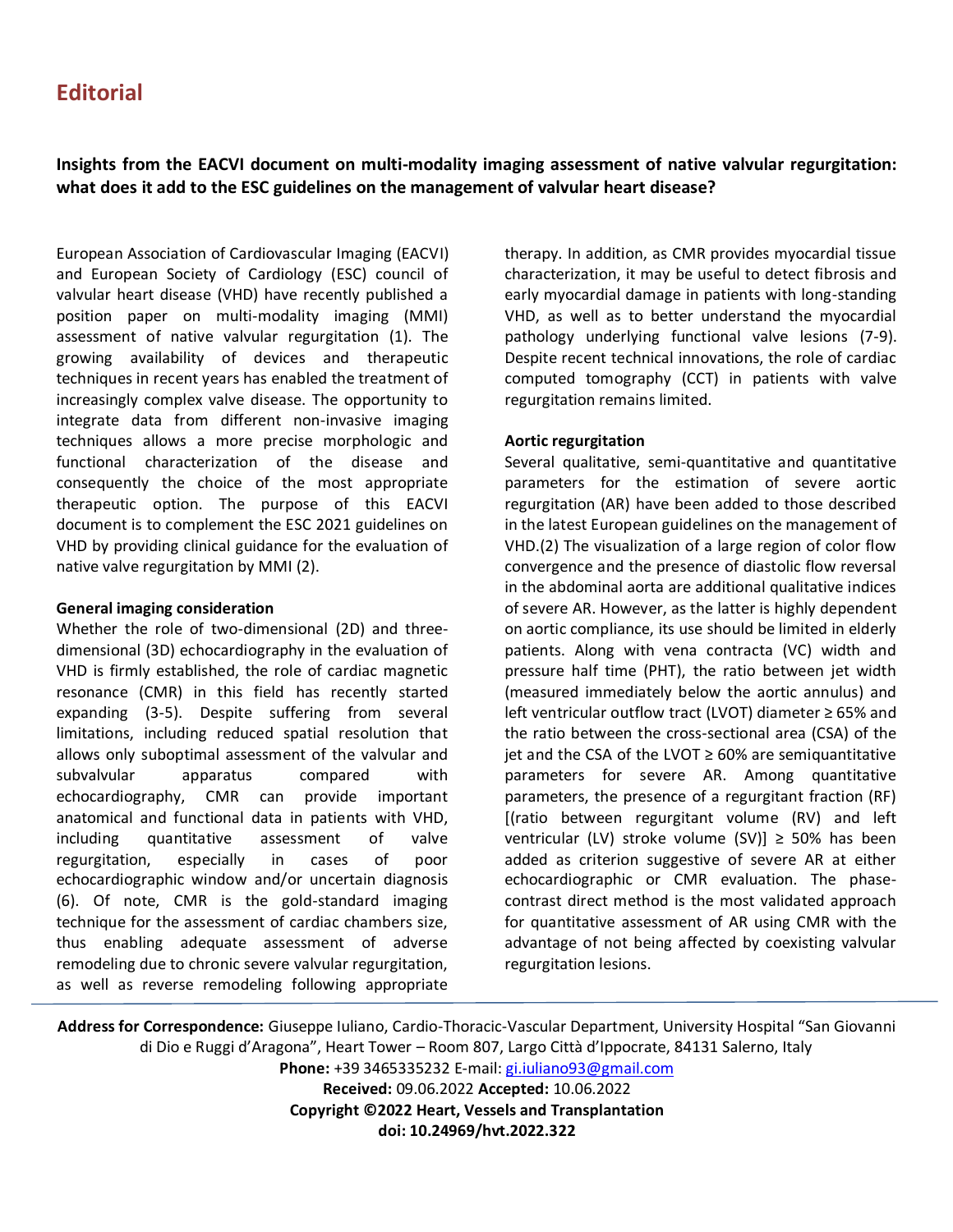# **Editorial**

**Insights from the EACVI document on multi-modality imaging assessment of native valvular regurgitation: what does it add to the ESC guidelines on the management of valvular heart disease?**

European Association of Cardiovascular Imaging (EACVI) and European Society of Cardiology (ESC) council of valvular heart disease (VHD) have recently published a position paper on multi-modality imaging (MMI) assessment of native valvular regurgitation (1). The growing availability of devices and therapeutic techniques in recent years has enabled the treatment of increasingly complex valve disease. The opportunity to integrate data from different non-invasive imaging techniques allows a more precise morphologic and functional characterization of the disease and consequently the choice of the most appropriate therapeutic option. The purpose of this EACVI document is to complement the ESC 2021 guidelines on VHD by providing clinical guidance for the evaluation of native valve regurgitation by MMI (2).

## **General imaging consideration**

Whether the role of two-dimensional (2D) and threedimensional (3D) echocardiography in the evaluation of VHD is firmly established, the role of cardiac magnetic resonance (CMR) in this field has recently started expanding (3-5). Despite suffering from several limitations, including reduced spatial resolution that allows only suboptimal assessment of the valvular and subvalvular apparatus compared with echocardiography, CMR can provide important anatomical and functional data in patients with VHD, including quantitative assessment of valve regurgitation, especially in cases of poor echocardiographic window and/or uncertain diagnosis (6). Of note, CMR is the gold-standard imaging technique for the assessment of cardiac chambers size, thus enabling adequate assessment of adverse remodeling due to chronic severe valvular regurgitation, as well as reverse remodeling following appropriate

therapy. In addition, as CMR provides myocardial tissue characterization, it may be useful to detect fibrosis and early myocardial damage in patients with long-standing VHD, as well as to better understand the myocardial pathology underlying functional valve lesions (7-9). Despite recent technical innovations, the role of cardiac computed tomography (CCT) in patients with valve regurgitation remains limited.

## **Aortic regurgitation**

Several qualitative, semi-quantitative and quantitative parameters for the estimation of severe aortic regurgitation (AR) have been added to those described in the latest European guidelines on the management of VHD.(2) The visualization of a large region of color flow convergence and the presence of diastolic flow reversal in the abdominal aorta are additional qualitative indices of severe AR. However, as the latter is highly dependent on aortic compliance, its use should be limited in elderly patients. Along with vena contracta (VC) width and pressure half time (PHT), the ratio between jet width (measured immediately below the aortic annulus) and left ventricular outflow tract (LVOT) diameter ≥ 65% and the ratio between the cross-sectional area (CSA) of the jet and the CSA of the LVOT ≥ 60% are semiguantitative parameters for severe AR. Among quantitative parameters, the presence of a regurgitant fraction (RF) [(ratio between regurgitant volume (RV) and left ventricular (LV) stroke volume (SV)]  $\geq$  50% has been added as criterion suggestive of severe AR at either echocardiographic or CMR evaluation. The phasecontrast direct method is the most validated approach for quantitative assessment of AR using CMR with the advantage of not being affected by coexisting valvular regurgitation lesions.

**Address for Correspondence:** Giuseppe Iuliano, Cardio-Thoracic-Vascular Department, University Hospital "San Giovanni di Dio e Ruggi d'Aragona", Heart Tower – Room 807, Largo Città d'Ippocrate, 84131 Salerno, Italy **Phone:** +39 3465335232 E-mail[: gi.iuliano93@gmail.com](mailto:gi.iuliano93@gmail.com) **Received:** 09.06.2022 **Accepted:** 10.06.2022 **Copyright ©2022 Heart, Vessels and Transplantation doi: 10.24969/hvt.2022.322**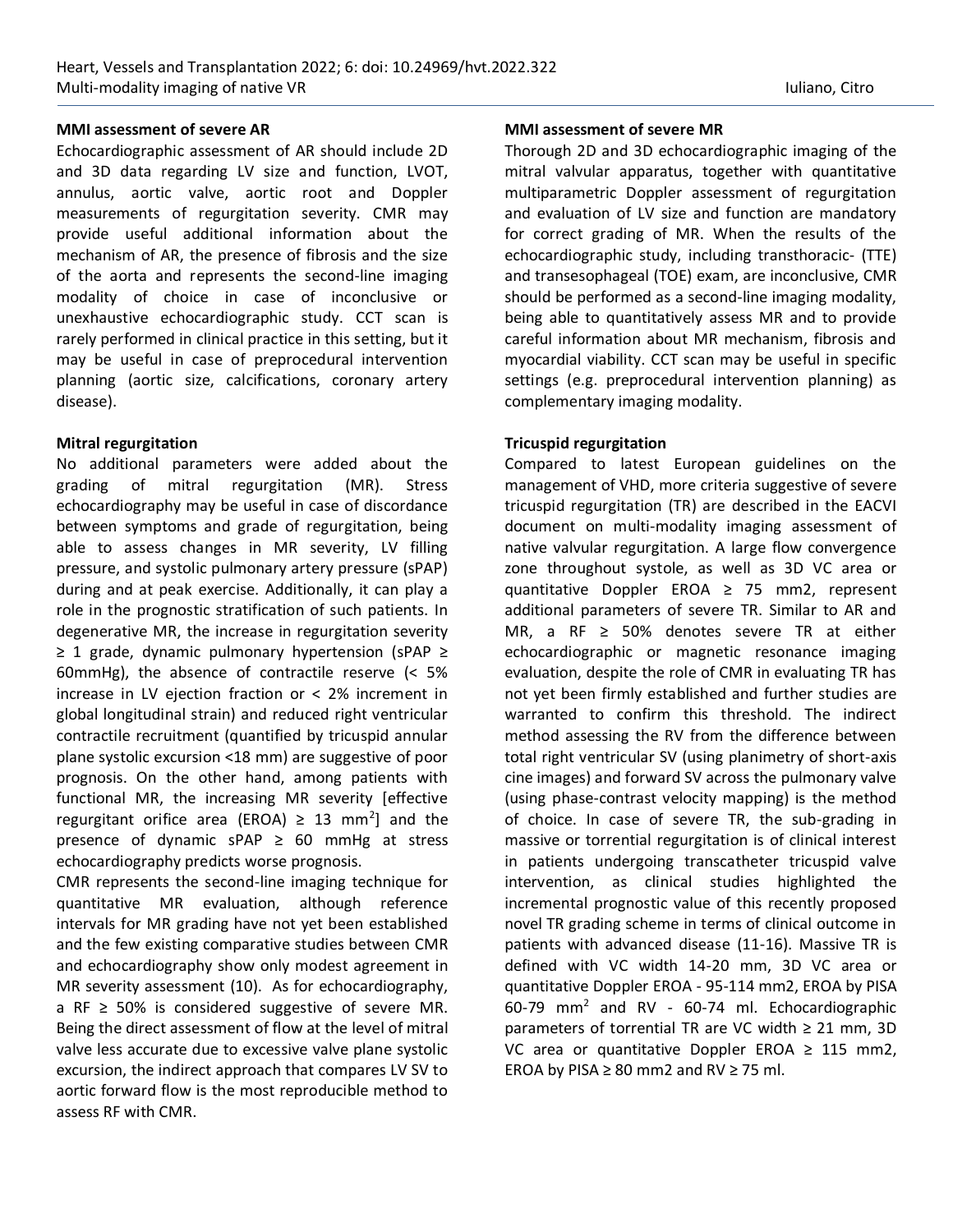#### **MMI assessment of severe AR**

Echocardiographic assessment of AR should include 2D and 3D data regarding LV size and function, LVOT, annulus, aortic valve, aortic root and Doppler measurements of regurgitation severity. CMR may provide useful additional information about the mechanism of AR, the presence of fibrosis and the size of the aorta and represents the second-line imaging modality of choice in case of inconclusive or unexhaustive echocardiographic study. CCT scan is rarely performed in clinical practice in this setting, but it may be useful in case of preprocedural intervention planning (aortic size, calcifications, coronary artery disease).

#### **Mitral regurgitation**

No additional parameters were added about the grading of mitral regurgitation (MR). Stress echocardiography may be useful in case of discordance between symptoms and grade of regurgitation, being able to assess changes in MR severity, LV filling pressure, and systolic pulmonary artery pressure (sPAP) during and at peak exercise. Additionally, it can play a role in the prognostic stratification of such patients. In degenerative MR, the increase in regurgitation severity ≥ 1 grade, dynamic pulmonary hypertension (sPAP ≥ 60mmHg), the absence of contractile reserve (< 5% increase in LV ejection fraction or < 2% increment in global longitudinal strain) and reduced right ventricular contractile recruitment (quantified by tricuspid annular plane systolic excursion <18 mm) are suggestive of poor prognosis. On the other hand, among patients with functional MR, the increasing MR severity [effective regurgitant orifice area (EROA)  $\geq$  13 mm<sup>2</sup>] and the presence of dynamic sPAP  $\geq$  60 mmHg at stress echocardiography predicts worse prognosis.

CMR represents the second-line imaging technique for quantitative MR evaluation, although reference intervals for MR grading have not yet been established and the few existing comparative studies between CMR and echocardiography show only modest agreement in MR severity assessment (10). As for echocardiography, a RF ≥ 50% is considered suggestive of severe MR. Being the direct assessment of flow at the level of mitral valve less accurate due to excessive valve plane systolic excursion, the indirect approach that compares LV SV to aortic forward flow is the most reproducible method to assess RF with CMR.

## **MMI assessment of severe MR**

Thorough 2D and 3D echocardiographic imaging of the mitral valvular apparatus, together with quantitative multiparametric Doppler assessment of regurgitation and evaluation of LV size and function are mandatory for correct grading of MR. When the results of the echocardiographic study, including transthoracic- (TTE) and transesophageal (TOE) exam, are inconclusive, CMR should be performed as a second-line imaging modality, being able to quantitatively assess MR and to provide careful information about MR mechanism, fibrosis and myocardial viability. CCT scan may be useful in specific settings (e.g. preprocedural intervention planning) as complementary imaging modality.

## **Tricuspid regurgitation**

Compared to latest European guidelines on the management of VHD, more criteria suggestive of severe tricuspid regurgitation (TR) are described in the EACVI document on multi-modality imaging assessment of native valvular regurgitation. A large flow convergence zone throughout systole, as well as 3D VC area or quantitative Doppler EROA ≥ 75 mm2, represent additional parameters of severe TR. Similar to AR and MR, a RF  $\geq$  50% denotes severe TR at either echocardiographic or magnetic resonance imaging evaluation, despite the role of CMR in evaluating TR has not yet been firmly established and further studies are warranted to confirm this threshold. The indirect method assessing the RV from the difference between total right ventricular SV (using planimetry of short-axis cine images) and forward SV across the pulmonary valve (using phase-contrast velocity mapping) is the method of choice. In case of severe TR, the sub-grading in massive or torrential regurgitation is of clinical interest in patients undergoing transcatheter tricuspid valve intervention, as clinical studies highlighted the incremental prognostic value of this recently proposed novel TR grading scheme in terms of clinical outcome in patients with advanced disease (11-16). Massive TR is defined with VC width 14-20 mm, 3D VC area or quantitative Doppler EROA - 95-114 mm2, EROA by PISA 60-79 mm<sup>2</sup> and RV - 60-74 ml. Echocardiographic parameters of torrential TR are VC width  $\geq 21$  mm, 3D VC area or quantitative Doppler EROA  $\geq$  115 mm2, EROA by PISA  $\geq$  80 mm2 and RV  $\geq$  75 ml.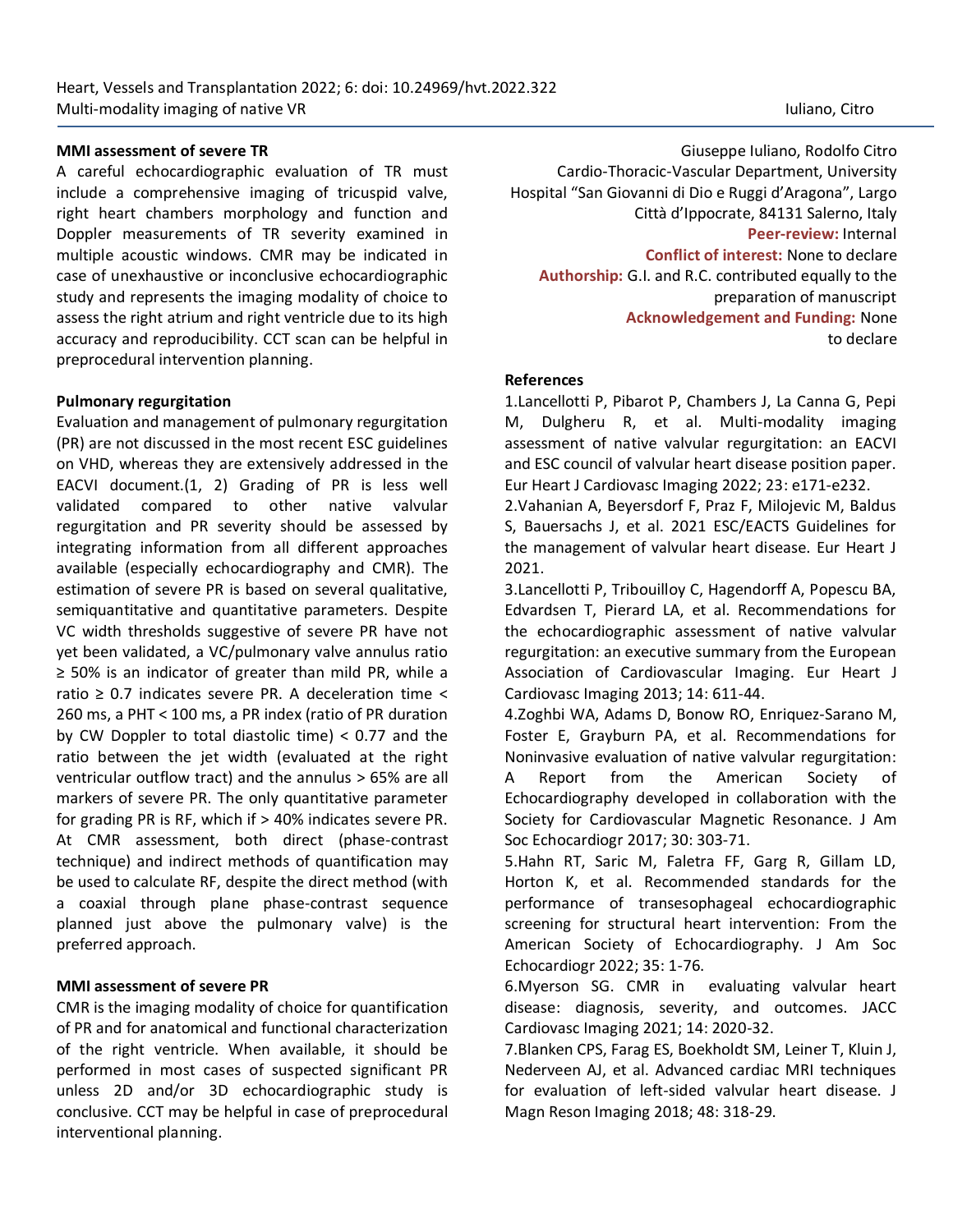#### **MMI assessment of severe TR**

A careful echocardiographic evaluation of TR must include a comprehensive imaging of tricuspid valve, right heart chambers morphology and function and Doppler measurements of TR severity examined in multiple acoustic windows. CMR may be indicated in case of unexhaustive or inconclusive echocardiographic study and represents the imaging modality of choice to assess the right atrium and right ventricle due to its high accuracy and reproducibility. CCT scan can be helpful in preprocedural intervention planning.

#### **Pulmonary regurgitation**

Evaluation and management of pulmonary regurgitation (PR) are not discussed in the most recent ESC guidelines on VHD, whereas they are extensively addressed in the EACVI document.(1, 2) Grading of PR is less well validated compared to other native valvular regurgitation and PR severity should be assessed by integrating information from all different approaches available (especially echocardiography and CMR). The estimation of severe PR is based on several qualitative, semiquantitative and quantitative parameters. Despite VC width thresholds suggestive of severe PR have not yet been validated, a VC/pulmonary valve annulus ratio ≥ 50% is an indicator of greater than mild PR, while a ratio ≥ 0.7 indicates severe PR. A deceleration time < 260 ms, a PHT < 100 ms, a PR index (ratio of PR duration by CW Doppler to total diastolic time) < 0.77 and the ratio between the jet width (evaluated at the right ventricular outflow tract) and the annulus > 65% are all markers of severe PR. The only quantitative parameter for grading PR is RF, which if > 40% indicates severe PR. At CMR assessment, both direct (phase-contrast technique) and indirect methods of quantification may be used to calculate RF, despite the direct method (with a coaxial through plane phase-contrast sequence planned just above the pulmonary valve) is the preferred approach.

#### **MMI assessment of severe PR**

CMR is the imaging modality of choice for quantification of PR and for anatomical and functional characterization of the right ventricle. When available, it should be performed in most cases of suspected significant PR unless 2D and/or 3D echocardiographic study is conclusive. CCT may be helpful in case of preprocedural interventional planning.

Giuseppe Iuliano, Rodolfo Citro Cardio-Thoracic-Vascular Department, University Hospital "San Giovanni di Dio e Ruggi d'Aragona", Largo Città d'Ippocrate, 84131 Salerno, Italy **Peer-review:** Internal **Conflict of interest:** None to declare **Authorship:** G.I. and R.C. contributed equally to the preparation of manuscript

> **Acknowledgement and Funding:** None to declare

## **References**

1.Lancellotti P, Pibarot P, Chambers J, La Canna G, Pepi M, Dulgheru R, et al. Multi-modality imaging assessment of native valvular regurgitation: an EACVI and ESC council of valvular heart disease position paper. Eur Heart J Cardiovasc Imaging 2022; 23: e171-e232.

2.Vahanian A, Beyersdorf F, Praz F, Milojevic M, Baldus S, Bauersachs J, et al. 2021 ESC/EACTS Guidelines for the management of valvular heart disease. Eur Heart J 2021.

3.Lancellotti P, Tribouilloy C, Hagendorff A, Popescu BA, Edvardsen T, Pierard LA, et al. Recommendations for the echocardiographic assessment of native valvular regurgitation: an executive summary from the European Association of Cardiovascular Imaging. Eur Heart J Cardiovasc Imaging 2013; 14: 611-44.

4.Zoghbi WA, Adams D, Bonow RO, Enriquez-Sarano M, Foster E, Grayburn PA, et al. Recommendations for Noninvasive evaluation of native valvular regurgitation: A Report from the American Society of Echocardiography developed in collaboration with the Society for Cardiovascular Magnetic Resonance. J Am Soc Echocardiogr 2017; 30: 303-71.

5.Hahn RT, Saric M, Faletra FF, Garg R, Gillam LD, Horton K, et al. Recommended standards for the performance of transesophageal echocardiographic screening for structural heart intervention: From the American Society of Echocardiography. J Am Soc Echocardiogr 2022; 35: 1-76.

6.Myerson SG. CMR in evaluating valvular heart disease: diagnosis, severity, and outcomes. JACC Cardiovasc Imaging 2021; 14: 2020-32.

7.Blanken CPS, Farag ES, Boekholdt SM, Leiner T, Kluin J, Nederveen AJ, et al. Advanced cardiac MRI techniques for evaluation of left-sided valvular heart disease. J Magn Reson Imaging 2018; 48: 318-29.